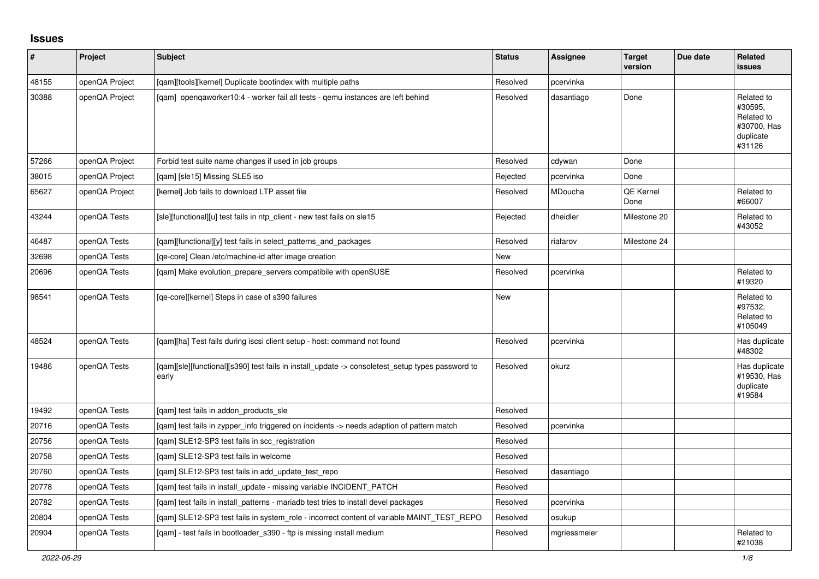## **Issues**

| #     | Project        | <b>Subject</b>                                                                                            | <b>Status</b> | Assignee       | <b>Target</b><br>version | Due date | <b>Related</b><br><b>issues</b>                                           |
|-------|----------------|-----------------------------------------------------------------------------------------------------------|---------------|----------------|--------------------------|----------|---------------------------------------------------------------------------|
| 48155 | openQA Project | [qam][tools][kernel] Duplicate bootindex with multiple paths                                              | Resolved      | pcervinka      |                          |          |                                                                           |
| 30388 | openQA Project | [qam] openqaworker10:4 - worker fail all tests - qemu instances are left behind                           | Resolved      | dasantiago     | Done                     |          | Related to<br>#30595,<br>Related to<br>#30700. Has<br>duplicate<br>#31126 |
| 57266 | openQA Project | Forbid test suite name changes if used in job groups                                                      | Resolved      | cdywan         | Done                     |          |                                                                           |
| 38015 | openQA Project | [gam] [sle15] Missing SLE5 iso                                                                            | Rejected      | pcervinka      | Done                     |          |                                                                           |
| 65627 | openQA Project | [kernel] Job fails to download LTP asset file                                                             | Resolved      | <b>MDoucha</b> | QE Kernel<br>Done        |          | Related to<br>#66007                                                      |
| 43244 | openQA Tests   | [sle][functional][u] test fails in ntp_client - new test fails on sle15                                   | Rejected      | dheidler       | Milestone 20             |          | Related to<br>#43052                                                      |
| 46487 | openQA Tests   | [qam][functional][y] test fails in select_patterns_and_packages                                           | Resolved      | riafarov       | Milestone 24             |          |                                                                           |
| 32698 | openQA Tests   | [ge-core] Clean /etc/machine-id after image creation                                                      | New           |                |                          |          |                                                                           |
| 20696 | openQA Tests   | [gam] Make evolution prepare servers compatibile with openSUSE                                            | Resolved      | pcervinka      |                          |          | Related to<br>#19320                                                      |
| 98541 | openQA Tests   | [ge-core][kernel] Steps in case of s390 failures                                                          | <b>New</b>    |                |                          |          | Related to<br>#97532,<br>Related to<br>#105049                            |
| 48524 | openQA Tests   | [gam][ha] Test fails during iscsi client setup - host: command not found                                  | Resolved      | pcervinka      |                          |          | Has duplicate<br>#48302                                                   |
| 19486 | openQA Tests   | [qam][sle][functional][s390] test fails in install_update -> consoletest_setup types password to<br>early | Resolved      | okurz          |                          |          | Has duplicate<br>#19530, Has<br>duplicate<br>#19584                       |
| 19492 | openQA Tests   | [gam] test fails in addon products sle                                                                    | Resolved      |                |                          |          |                                                                           |
| 20716 | openQA Tests   | [gam] test fails in zypper info triggered on incidents -> needs adaption of pattern match                 | Resolved      | pcervinka      |                          |          |                                                                           |
| 20756 | openQA Tests   | [gam] SLE12-SP3 test fails in scc registration                                                            | Resolved      |                |                          |          |                                                                           |
| 20758 | openQA Tests   | [gam] SLE12-SP3 test fails in welcome                                                                     | Resolved      |                |                          |          |                                                                           |
| 20760 | openQA Tests   | [qam] SLE12-SP3 test fails in add_update_test_repo                                                        | Resolved      | dasantiago     |                          |          |                                                                           |
| 20778 | openQA Tests   | [qam] test fails in install_update - missing variable INCIDENT_PATCH                                      | Resolved      |                |                          |          |                                                                           |
| 20782 | openQA Tests   | [qam] test fails in install_patterns - mariadb test tries to install devel packages                       | Resolved      | pcervinka      |                          |          |                                                                           |
| 20804 | openQA Tests   | [gam] SLE12-SP3 test fails in system_role - incorrect content of variable MAINT_TEST_REPO                 | Resolved      | osukup         |                          |          |                                                                           |
| 20904 | openQA Tests   | [gam] - test fails in bootloader s390 - ftp is missing install medium                                     | Resolved      | mgriessmeier   |                          |          | Related to<br>#21038                                                      |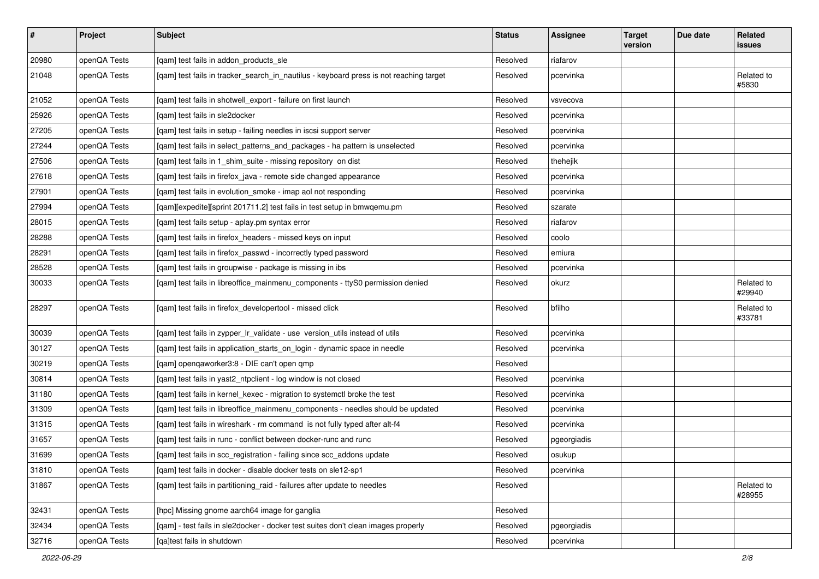| #     | Project      | Subject                                                                                | <b>Status</b> | <b>Assignee</b> | <b>Target</b><br>version | Due date | <b>Related</b><br>issues |
|-------|--------------|----------------------------------------------------------------------------------------|---------------|-----------------|--------------------------|----------|--------------------------|
| 20980 | openQA Tests | [qam] test fails in addon_products_sle                                                 | Resolved      | riafarov        |                          |          |                          |
| 21048 | openQA Tests | [qam] test fails in tracker_search_in_nautilus - keyboard press is not reaching target | Resolved      | pcervinka       |                          |          | Related to<br>#5830      |
| 21052 | openQA Tests | [qam] test fails in shotwell_export - failure on first launch                          | Resolved      | vsvecova        |                          |          |                          |
| 25926 | openQA Tests | [gam] test fails in sle2docker                                                         | Resolved      | pcervinka       |                          |          |                          |
| 27205 | openQA Tests | [qam] test fails in setup - failing needles in iscsi support server                    | Resolved      | pcervinka       |                          |          |                          |
| 27244 | openQA Tests | [qam] test fails in select_patterns_and_packages - ha pattern is unselected            | Resolved      | pcervinka       |                          |          |                          |
| 27506 | openQA Tests | [qam] test fails in 1_shim_suite - missing repository on dist                          | Resolved      | thehejik        |                          |          |                          |
| 27618 | openQA Tests | [qam] test fails in firefox_java - remote side changed appearance                      | Resolved      | pcervinka       |                          |          |                          |
| 27901 | openQA Tests | [qam] test fails in evolution_smoke - imap aol not responding                          | Resolved      | pcervinka       |                          |          |                          |
| 27994 | openQA Tests | [qam][expedite][sprint 201711.2] test fails in test setup in bmwqemu.pm                | Resolved      | szarate         |                          |          |                          |
| 28015 | openQA Tests | [qam] test fails setup - aplay.pm syntax error                                         | Resolved      | riafarov        |                          |          |                          |
| 28288 | openQA Tests | [qam] test fails in firefox_headers - missed keys on input                             | Resolved      | coolo           |                          |          |                          |
| 28291 | openQA Tests | [qam] test fails in firefox_passwd - incorrectly typed password                        | Resolved      | emiura          |                          |          |                          |
| 28528 | openQA Tests | [gam] test fails in groupwise - package is missing in ibs                              | Resolved      | pcervinka       |                          |          |                          |
| 30033 | openQA Tests | [qam] test fails in libreoffice_mainmenu_components - ttyS0 permission denied          | Resolved      | okurz           |                          |          | Related to<br>#29940     |
| 28297 | openQA Tests | [qam] test fails in firefox_developertool - missed click                               | Resolved      | bfilho          |                          |          | Related to<br>#33781     |
| 30039 | openQA Tests | [gam] test fails in zypper Ir validate - use version utils instead of utils            | Resolved      | pcervinka       |                          |          |                          |
| 30127 | openQA Tests | [qam] test fails in application_starts_on_login - dynamic space in needle              | Resolved      | pcervinka       |                          |          |                          |
| 30219 | openQA Tests | [qam] openqaworker3:8 - DIE can't open qmp                                             | Resolved      |                 |                          |          |                          |
| 30814 | openQA Tests | [qam] test fails in yast2_ntpclient - log window is not closed                         | Resolved      | pcervinka       |                          |          |                          |
| 31180 | openQA Tests | [qam] test fails in kernel_kexec - migration to systemctl broke the test               | Resolved      | pcervinka       |                          |          |                          |
| 31309 | openQA Tests | [qam] test fails in libreoffice_mainmenu_components - needles should be updated        | Resolved      | pcervinka       |                          |          |                          |
| 31315 | openQA Tests | [qam] test fails in wireshark - rm command is not fully typed after alt-f4             | Resolved      | pcervinka       |                          |          |                          |
| 31657 | openQA Tests | [qam] test fails in runc - conflict between docker-runc and runc                       | Resolved      | pgeorgiadis     |                          |          |                          |
| 31699 | openQA Tests | [qam] test fails in scc_registration - failing since scc_addons update                 | Resolved      | osukup          |                          |          |                          |
| 31810 | openQA Tests | [qam] test fails in docker - disable docker tests on sle12-sp1                         | Resolved      | pcervinka       |                          |          |                          |
| 31867 | openQA Tests | [gam] test fails in partitioning raid - failures after update to needles               | Resolved      |                 |                          |          | Related to<br>#28955     |
| 32431 | openQA Tests | [hpc] Missing gnome aarch64 image for ganglia                                          | Resolved      |                 |                          |          |                          |
| 32434 | openQA Tests | [gam] - test fails in sle2docker - docker test suites don't clean images properly      | Resolved      | pgeorgiadis     |                          |          |                          |
| 32716 | openQA Tests | [qa]test fails in shutdown                                                             | Resolved      | pcervinka       |                          |          |                          |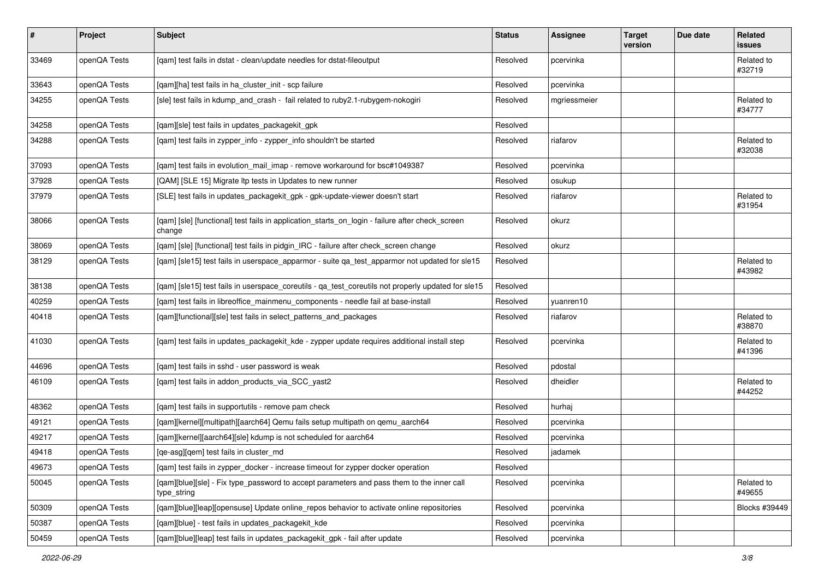| $\vert$ # | Project      | <b>Subject</b>                                                                                            | <b>Status</b> | <b>Assignee</b> | <b>Target</b><br>version | Due date | Related<br>issues    |
|-----------|--------------|-----------------------------------------------------------------------------------------------------------|---------------|-----------------|--------------------------|----------|----------------------|
| 33469     | openQA Tests | [qam] test fails in dstat - clean/update needles for dstat-fileoutput                                     | Resolved      | pcervinka       |                          |          | Related to<br>#32719 |
| 33643     | openQA Tests | [qam][ha] test fails in ha_cluster_init - scp failure                                                     | Resolved      | pcervinka       |                          |          |                      |
| 34255     | openQA Tests | [sle] test fails in kdump_and_crash - fail related to ruby2.1-rubygem-nokogiri                            | Resolved      | mgriessmeier    |                          |          | Related to<br>#34777 |
| 34258     | openQA Tests | [qam][sle] test fails in updates_packagekit_gpk                                                           | Resolved      |                 |                          |          |                      |
| 34288     | openQA Tests | [qam] test fails in zypper_info - zypper_info shouldn't be started                                        | Resolved      | riafarov        |                          |          | Related to<br>#32038 |
| 37093     | openQA Tests | [qam] test fails in evolution_mail_imap - remove workaround for bsc#1049387                               | Resolved      | pcervinka       |                          |          |                      |
| 37928     | openQA Tests | [QAM] [SLE 15] Migrate Itp tests in Updates to new runner                                                 | Resolved      | osukup          |                          |          |                      |
| 37979     | openQA Tests | [SLE] test fails in updates_packagekit_gpk - gpk-update-viewer doesn't start                              | Resolved      | riafarov        |                          |          | Related to<br>#31954 |
| 38066     | openQA Tests | [qam] [sle] [functional] test fails in application_starts_on_login - failure after check_screen<br>change | Resolved      | okurz           |                          |          |                      |
| 38069     | openQA Tests | [qam] [sle] [functional] test fails in pidgin_IRC - failure after check_screen change                     | Resolved      | okurz           |                          |          |                      |
| 38129     | openQA Tests | [qam] [sle15] test fails in userspace_apparmor - suite qa_test_apparmor not updated for sle15             | Resolved      |                 |                          |          | Related to<br>#43982 |
| 38138     | openQA Tests | [qam] [sle15] test fails in userspace_coreutils - qa_test_coreutils not properly updated for sle15        | Resolved      |                 |                          |          |                      |
| 40259     | openQA Tests | [qam] test fails in libreoffice_mainmenu_components - needle fail at base-install                         | Resolved      | yuanren10       |                          |          |                      |
| 40418     | openQA Tests | [qam][functional][sle] test fails in select_patterns_and_packages                                         | Resolved      | riafarov        |                          |          | Related to<br>#38870 |
| 41030     | openQA Tests | [qam] test fails in updates_packagekit_kde - zypper update requires additional install step               | Resolved      | pcervinka       |                          |          | Related to<br>#41396 |
| 44696     | openQA Tests | [gam] test fails in sshd - user password is weak                                                          | Resolved      | pdostal         |                          |          |                      |
| 46109     | openQA Tests | [qam] test fails in addon_products_via_SCC_yast2                                                          | Resolved      | dheidler        |                          |          | Related to<br>#44252 |
| 48362     | openQA Tests | [qam] test fails in supportutils - remove pam check                                                       | Resolved      | hurhaj          |                          |          |                      |
| 49121     | openQA Tests | [qam][kernel][multipath][aarch64] Qemu fails setup multipath on qemu_aarch64                              | Resolved      | pcervinka       |                          |          |                      |
| 49217     | openQA Tests | [qam][kernel][aarch64][sle] kdump is not scheduled for aarch64                                            | Resolved      | pcervinka       |                          |          |                      |
| 49418     | openQA Tests | [qe-asg][qem] test fails in cluster_md                                                                    | Resolved      | jadamek         |                          |          |                      |
| 49673     | openQA Tests | [qam] test fails in zypper_docker - increase timeout for zypper docker operation                          | Resolved      |                 |                          |          |                      |
| 50045     | openQA Tests | [gam][blue][sle] - Fix type_password to accept parameters and pass them to the inner call<br>type_string  | Resolved      | pcervinka       |                          |          | Related to<br>#49655 |
| 50309     | openQA Tests | [qam][blue][leap][opensuse] Update online_repos behavior to activate online repositories                  | Resolved      | pcervinka       |                          |          | Blocks #39449        |
| 50387     | openQA Tests | [gam][blue] - test fails in updates packagekit kde                                                        | Resolved      | pcervinka       |                          |          |                      |
| 50459     | openQA Tests | [qam][blue][leap] test fails in updates_packagekit_gpk - fail after update                                | Resolved      | pcervinka       |                          |          |                      |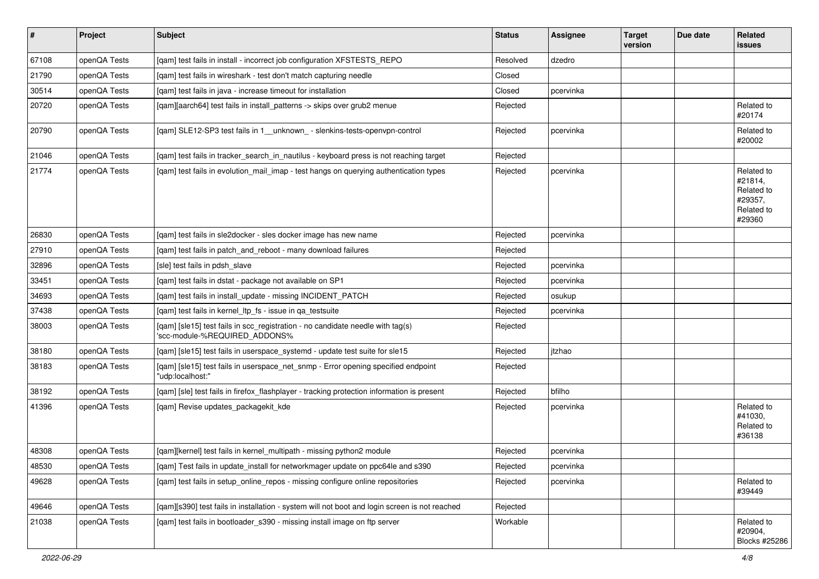| $\vert$ # | Project      | <b>Subject</b>                                                                                                  | <b>Status</b> | <b>Assignee</b> | <b>Target</b><br>version | Due date | Related<br><b>issues</b>                                               |
|-----------|--------------|-----------------------------------------------------------------------------------------------------------------|---------------|-----------------|--------------------------|----------|------------------------------------------------------------------------|
| 67108     | openQA Tests | [qam] test fails in install - incorrect job configuration XFSTESTS_REPO                                         | Resolved      | dzedro          |                          |          |                                                                        |
| 21790     | openQA Tests | [gam] test fails in wireshark - test don't match capturing needle                                               | Closed        |                 |                          |          |                                                                        |
| 30514     | openQA Tests | [qam] test fails in java - increase timeout for installation                                                    | Closed        | pcervinka       |                          |          |                                                                        |
| 20720     | openQA Tests | [qam][aarch64] test fails in install_patterns -> skips over grub2 menue                                         | Rejected      |                 |                          |          | Related to<br>#20174                                                   |
| 20790     | openQA Tests | [qam] SLE12-SP3 test fails in 1_unknown_- slenkins-tests-openvpn-control                                        | Rejected      | pcervinka       |                          |          | Related to<br>#20002                                                   |
| 21046     | openQA Tests | [qam] test fails in tracker_search_in_nautilus - keyboard press is not reaching target                          | Rejected      |                 |                          |          |                                                                        |
| 21774     | openQA Tests | [qam] test fails in evolution_mail_imap - test hangs on querying authentication types                           | Rejected      | pcervinka       |                          |          | Related to<br>#21814,<br>Related to<br>#29357,<br>Related to<br>#29360 |
| 26830     | openQA Tests | [qam] test fails in sle2docker - sles docker image has new name                                                 | Rejected      | pcervinka       |                          |          |                                                                        |
| 27910     | openQA Tests | [gam] test fails in patch and reboot - many download failures                                                   | Rejected      |                 |                          |          |                                                                        |
| 32896     | openQA Tests | [sle] test fails in pdsh_slave                                                                                  | Rejected      | pcervinka       |                          |          |                                                                        |
| 33451     | openQA Tests | [gam] test fails in dstat - package not available on SP1                                                        | Rejected      | pcervinka       |                          |          |                                                                        |
| 34693     | openQA Tests | [gam] test fails in install update - missing INCIDENT PATCH                                                     | Rejected      | osukup          |                          |          |                                                                        |
| 37438     | openQA Tests | [qam] test fails in kernel_ltp_fs - issue in qa_testsuite                                                       | Rejected      | pcervinka       |                          |          |                                                                        |
| 38003     | openQA Tests | [qam] [sle15] test fails in scc_registration - no candidate needle with tag(s)<br>'scc-module-%REQUIRED_ADDONS% | Rejected      |                 |                          |          |                                                                        |
| 38180     | openQA Tests | [qam] [sle15] test fails in userspace_systemd - update test suite for sle15                                     | Rejected      | itzhao          |                          |          |                                                                        |
| 38183     | openQA Tests | [qam] [sle15] test fails in userspace_net_snmp - Error opening specified endpoint<br>"udp:localhost:"           | Rejected      |                 |                          |          |                                                                        |
| 38192     | openQA Tests | [gam] [sle] test fails in firefox flashplayer - tracking protection information is present                      | Rejected      | bfilho          |                          |          |                                                                        |
| 41396     | openQA Tests | [gam] Revise updates packagekit kde                                                                             | Rejected      | pcervinka       |                          |          | Related to<br>#41030,<br>Related to<br>#36138                          |
| 48308     | openQA Tests | [qam][kernel] test fails in kernel_multipath - missing python2 module                                           | Rejected      | pcervinka       |                          |          |                                                                        |
| 48530     | openQA Tests | [gam] Test fails in update install for networkmager update on ppc64le and s390                                  | Rejected      | pcervinka       |                          |          |                                                                        |
| 49628     | openQA Tests | [qam] test fails in setup_online_repos - missing configure online repositories                                  | Rejected      | pcervinka       |                          |          | Related to<br>#39449                                                   |
| 49646     | openQA Tests | [gam][s390] test fails in installation - system will not boot and login screen is not reached                   | Rejected      |                 |                          |          |                                                                        |
| 21038     | openQA Tests | [qam] test fails in bootloader_s390 - missing install image on ftp server                                       | Workable      |                 |                          |          | Related to<br>#20904,<br>Blocks #25286                                 |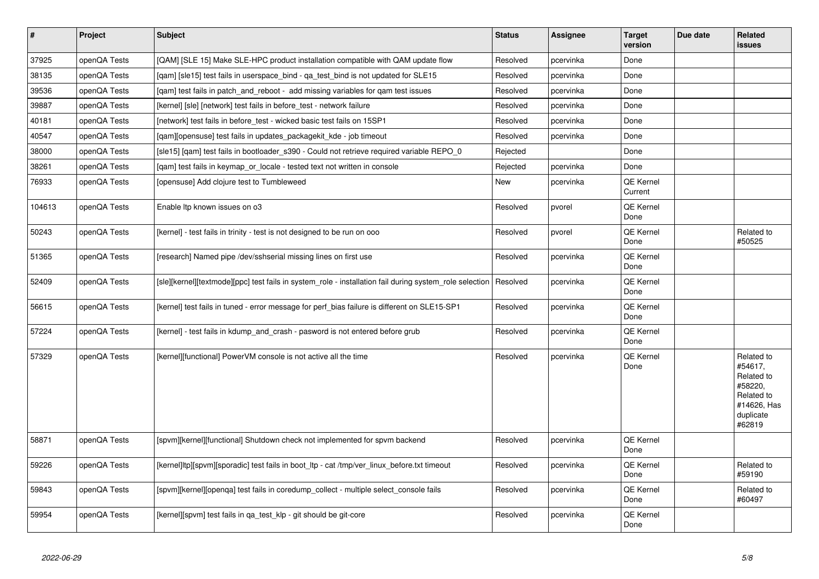| $\vert$ # | Project      | <b>Subject</b>                                                                                          | <b>Status</b> | Assignee  | <b>Target</b><br>version | Due date | Related<br>issues                                                                                  |
|-----------|--------------|---------------------------------------------------------------------------------------------------------|---------------|-----------|--------------------------|----------|----------------------------------------------------------------------------------------------------|
| 37925     | openQA Tests | [QAM] [SLE 15] Make SLE-HPC product installation compatible with QAM update flow                        | Resolved      | pcervinka | Done                     |          |                                                                                                    |
| 38135     | openQA Tests | [gam] [sle15] test fails in userspace bind - ga test bind is not updated for SLE15                      | Resolved      | pcervinka | Done                     |          |                                                                                                    |
| 39536     | openQA Tests | [gam] test fails in patch and reboot - add missing variables for gam test issues                        | Resolved      | pcervinka | Done                     |          |                                                                                                    |
| 39887     | openQA Tests | [kernel] [sle] [network] test fails in before test - network failure                                    | Resolved      | pcervinka | Done                     |          |                                                                                                    |
| 40181     | openQA Tests | [network] test fails in before test - wicked basic test fails on 15SP1                                  | Resolved      | pcervinka | Done                     |          |                                                                                                    |
| 40547     | openQA Tests | [qam][opensuse] test fails in updates_packagekit_kde - job timeout                                      | Resolved      | pcervinka | Done                     |          |                                                                                                    |
| 38000     | openQA Tests | [sle15] [qam] test fails in bootloader_s390 - Could not retrieve required variable REPO_0               | Rejected      |           | Done                     |          |                                                                                                    |
| 38261     | openQA Tests | [gam] test fails in keymap or locale - tested text not written in console                               | Rejected      | pcervinka | Done                     |          |                                                                                                    |
| 76933     | openQA Tests | [opensuse] Add clojure test to Tumbleweed                                                               | New           | pcervinka | QE Kernel<br>Current     |          |                                                                                                    |
| 104613    | openQA Tests | Enable Itp known issues on o3                                                                           | Resolved      | pvorel    | <b>QE Kernel</b><br>Done |          |                                                                                                    |
| 50243     | openQA Tests | [kernel] - test fails in trinity - test is not designed to be run on ooo                                | Resolved      | pvorel    | QE Kernel<br>Done        |          | Related to<br>#50525                                                                               |
| 51365     | openQA Tests | [research] Named pipe /dev/sshserial missing lines on first use                                         | Resolved      | pcervinka | QE Kernel<br>Done        |          |                                                                                                    |
| 52409     | openQA Tests | [sle][kernel][textmode][ppc] test fails in system role - installation fail during system role selection | Resolved      | pcervinka | QE Kernel<br>Done        |          |                                                                                                    |
| 56615     | openQA Tests | [kernel] test fails in tuned - error message for perf bias failure is different on SLE15-SP1            | Resolved      | pcervinka | <b>QE Kernel</b><br>Done |          |                                                                                                    |
| 57224     | openQA Tests | [kernel] - test fails in kdump_and_crash - pasword is not entered before grub                           | Resolved      | pcervinka | <b>QE Kernel</b><br>Done |          |                                                                                                    |
| 57329     | openQA Tests | [kernel][functional] PowerVM console is not active all the time                                         | Resolved      | pcervinka | QE Kernel<br>Done        |          | Related to<br>#54617.<br>Related to<br>#58220,<br>Related to<br>#14626, Has<br>duplicate<br>#62819 |
| 58871     | openQA Tests | [spvm][kernel][functional] Shutdown check not implemented for spvm backend                              | Resolved      | pcervinka | <b>QE Kernel</b><br>Done |          |                                                                                                    |
| 59226     | openQA Tests | [kernel]ltp][spvm][sporadic] test fails in boot_ltp - cat /tmp/ver_linux_before.txt timeout             | Resolved      | pcervinka | QE Kernel<br>Done        |          | Related to<br>#59190                                                                               |
| 59843     | openQA Tests | [spvm][kernel][openqa] test fails in coredump_collect - multiple select_console fails                   | Resolved      | pcervinka | <b>QE Kernel</b><br>Done |          | Related to<br>#60497                                                                               |
| 59954     | openQA Tests | [kernel][spvm] test fails in ga test klp - git should be git-core                                       | Resolved      | pcervinka | QE Kernel<br>Done        |          |                                                                                                    |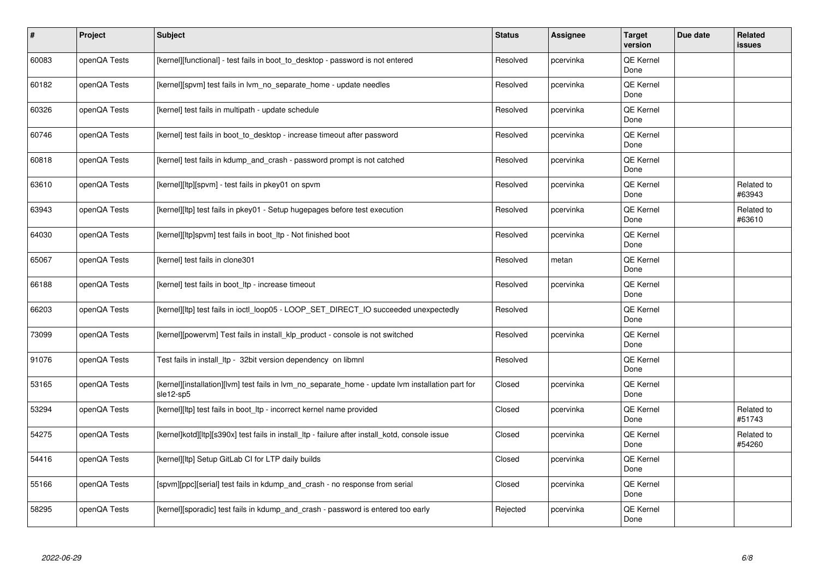| #     | Project      | <b>Subject</b>                                                                                                 | <b>Status</b> | <b>Assignee</b> | <b>Target</b><br>version | Due date | <b>Related</b><br><b>issues</b> |
|-------|--------------|----------------------------------------------------------------------------------------------------------------|---------------|-----------------|--------------------------|----------|---------------------------------|
| 60083 | openQA Tests | [kernel][functional] - test fails in boot_to_desktop - password is not entered                                 | Resolved      | pcervinka       | <b>QE Kernel</b><br>Done |          |                                 |
| 60182 | openQA Tests | [kernel][spvm] test fails in lvm no separate home - update needles                                             | Resolved      | pcervinka       | <b>QE Kernel</b><br>Done |          |                                 |
| 60326 | openQA Tests | [kernel] test fails in multipath - update schedule                                                             | Resolved      | pcervinka       | <b>QE Kernel</b><br>Done |          |                                 |
| 60746 | openQA Tests | [kernel] test fails in boot to desktop - increase timeout after password                                       | Resolved      | pcervinka       | <b>QE Kernel</b><br>Done |          |                                 |
| 60818 | openQA Tests | [kernel] test fails in kdump_and_crash - password prompt is not catched                                        | Resolved      | pcervinka       | <b>QE Kernel</b><br>Done |          |                                 |
| 63610 | openQA Tests | [kernel][ltp][spvm] - test fails in pkey01 on spvm                                                             | Resolved      | pcervinka       | <b>QE Kernel</b><br>Done |          | Related to<br>#63943            |
| 63943 | openQA Tests | [kernel][ltp] test fails in pkey01 - Setup hugepages before test execution                                     | Resolved      | pcervinka       | QE Kernel<br>Done        |          | Related to<br>#63610            |
| 64030 | openQA Tests | [kernel][ltp]spvm] test fails in boot_ltp - Not finished boot                                                  | Resolved      | pcervinka       | <b>QE Kernel</b><br>Done |          |                                 |
| 65067 | openQA Tests | [kernel] test fails in clone301                                                                                | Resolved      | metan           | <b>QE Kernel</b><br>Done |          |                                 |
| 66188 | openQA Tests | [kernel] test fails in boot Itp - increase timeout                                                             | Resolved      | pcervinka       | <b>QE Kernel</b><br>Done |          |                                 |
| 66203 | openQA Tests | [kernel][ltp] test fails in ioctl_loop05 - LOOP_SET_DIRECT_IO succeeded unexpectedly                           | Resolved      |                 | <b>QE Kernel</b><br>Done |          |                                 |
| 73099 | openQA Tests | [kernel][powervm] Test fails in install_klp_product - console is not switched                                  | Resolved      | pcervinka       | QE Kernel<br>Done        |          |                                 |
| 91076 | openQA Tests | Test fails in install Itp - 32bit version dependency on libmnl                                                 | Resolved      |                 | <b>QE Kernel</b><br>Done |          |                                 |
| 53165 | openQA Tests | [kernel][installation][lvm] test fails in lvm_no_separate_home - update lvm installation part for<br>sle12-sp5 | Closed        | pcervinka       | QE Kernel<br>Done        |          |                                 |
| 53294 | openQA Tests | [kernel][ltp] test fails in boot Itp - incorrect kernel name provided                                          | Closed        | pcervinka       | <b>QE Kernel</b><br>Done |          | Related to<br>#51743            |
| 54275 | openQA Tests | [kernel]kotd][ltp][s390x] test fails in install_ltp - failure after install_kotd, console issue                | Closed        | pcervinka       | QE Kernel<br>Done        |          | Related to<br>#54260            |
| 54416 | openQA Tests | [kernel][ltp] Setup GitLab CI for LTP daily builds                                                             | Closed        | pcervinka       | <b>QE Kernel</b><br>Done |          |                                 |
| 55166 | openQA Tests | [spvm][ppc][serial] test fails in kdump_and_crash - no response from serial                                    | Closed        | pcervinka       | QE Kernel<br>Done        |          |                                 |
| 58295 | openQA Tests | [kernel][sporadic] test fails in kdump and crash - password is entered too early                               | Rejected      | pcervinka       | QE Kernel<br>Done        |          |                                 |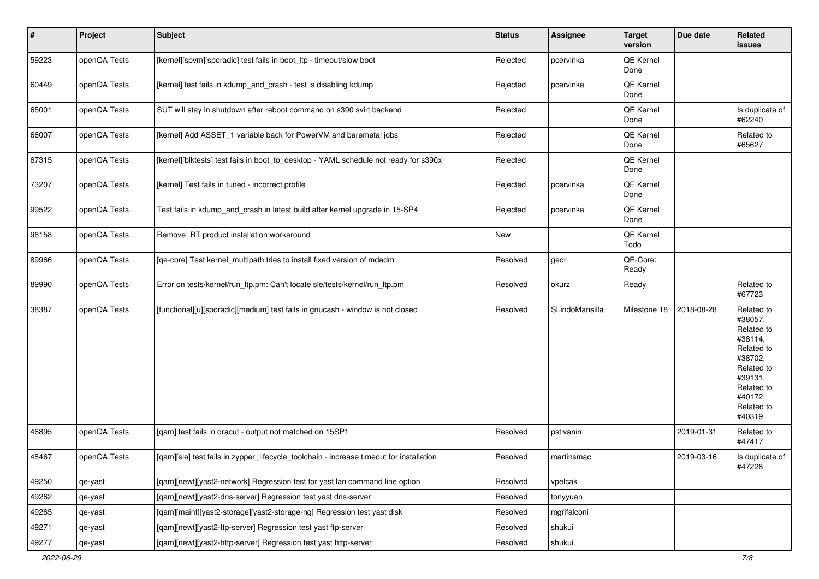| $\sharp$ | Project      | <b>Subject</b>                                                                          | <b>Status</b> | Assignee       | <b>Target</b><br>version | Due date   | Related<br>issues                                                                                                                                 |
|----------|--------------|-----------------------------------------------------------------------------------------|---------------|----------------|--------------------------|------------|---------------------------------------------------------------------------------------------------------------------------------------------------|
| 59223    | openQA Tests | [kernel][spvm][sporadic] test fails in boot_ltp - timeout/slow boot                     | Rejected      | pcervinka      | QE Kernel<br>Done        |            |                                                                                                                                                   |
| 60449    | openQA Tests | [kernel] test fails in kdump and crash - test is disabling kdump                        | Rejected      | pcervinka      | QE Kernel<br>Done        |            |                                                                                                                                                   |
| 65001    | openQA Tests | SUT will stay in shutdown after reboot command on s390 svirt backend                    | Rejected      |                | QE Kernel<br>Done        |            | Is duplicate of<br>#62240                                                                                                                         |
| 66007    | openQA Tests | [kernel] Add ASSET_1 variable back for PowerVM and baremetal jobs                       | Rejected      |                | QE Kernel<br>Done        |            | Related to<br>#65627                                                                                                                              |
| 67315    | openQA Tests | [kernel][blktests] test fails in boot_to_desktop - YAML schedule not ready for s390x    | Rejected      |                | QE Kernel<br>Done        |            |                                                                                                                                                   |
| 73207    | openQA Tests | [kernel] Test fails in tuned - incorrect profile                                        | Rejected      | pcervinka      | QE Kernel<br>Done        |            |                                                                                                                                                   |
| 99522    | openQA Tests | Test fails in kdump_and_crash in latest build after kernel upgrade in 15-SP4            | Rejected      | pcervinka      | QE Kernel<br>Done        |            |                                                                                                                                                   |
| 96158    | openQA Tests | Remove RT product installation workaround                                               | New           |                | QE Kernel<br>Todo        |            |                                                                                                                                                   |
| 89966    | openQA Tests | [qe-core] Test kernel_multipath tries to install fixed version of mdadm                 | Resolved      | geor           | QE-Core:<br>Ready        |            |                                                                                                                                                   |
| 89990    | openQA Tests | Error on tests/kernel/run_ltp.pm: Can't locate sle/tests/kernel/run_ltp.pm              | Resolved      | okurz          | Ready                    |            | Related to<br>#67723                                                                                                                              |
| 38387    | openQA Tests | [functional][u][sporadic][medium] test fails in gnucash - window is not closed          | Resolved      | SLindoMansilla | Milestone 18             | 2018-08-28 | Related to<br>#38057,<br>Related to<br>#38114,<br>Related to<br>#38702,<br>Related to<br>#39131,<br>Related to<br>#40172,<br>Related to<br>#40319 |
| 46895    | openQA Tests | [qam] test fails in dracut - output not matched on 15SP1                                | Resolved      | pstivanin      |                          | 2019-01-31 | Related to<br>#47417                                                                                                                              |
| 48467    | openQA Tests | [qam][sle] test fails in zypper_lifecycle_toolchain - increase timeout for installation | Resolved      | martinsmac     |                          | 2019-03-16 | Is duplicate of<br>#47228                                                                                                                         |
| 49250    | qe-yast      | [qam][newt][yast2-network] Regression test for yast lan command line option             | Resolved      | vpelcak        |                          |            |                                                                                                                                                   |
| 49262    | qe-yast      | [qam][newt][yast2-dns-server] Regression test yast dns-server                           | Resolved      | tonyyuan       |                          |            |                                                                                                                                                   |
| 49265    | qe-yast      | [qam][maint][yast2-storage][yast2-storage-ng] Regression test yast disk                 | Resolved      | mgrifalconi    |                          |            |                                                                                                                                                   |
| 49271    | qe-yast      | [qam][newt][yast2-ftp-server] Regression test yast ftp-server                           | Resolved      | shukui         |                          |            |                                                                                                                                                   |
| 49277    | qe-yast      | [qam][newt][yast2-http-server] Regression test yast http-server                         | Resolved      | shukui         |                          |            |                                                                                                                                                   |